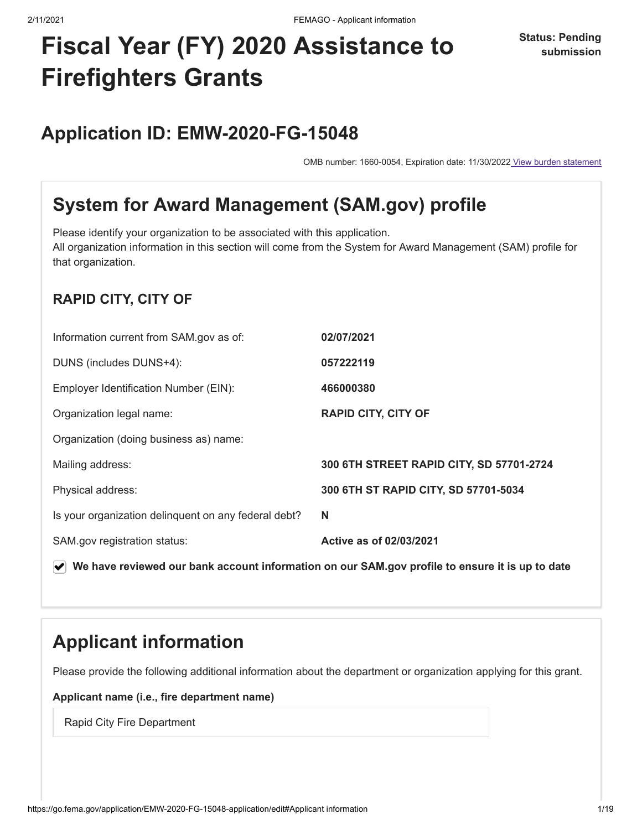**Status: Pending submission**

# **Fiscal Year (FY) 2020 Assistance to Firefighters Grants**

## **Application ID: EMW-2020-FG-15048**

OMB number: 1660-0054, Expiration date: 11/30/2022 View burden statement

## <span id="page-0-0"></span>**System for Award Management (SAM.gov) profile**

Please identify your organization to be associated with this application. All organization information in this section will come from the System for Award Management (SAM) profile for that organization.

#### **RAPID CITY, CITY OF**

| 057222119<br>DUNS (includes DUNS+4):<br>466000380<br>Employer Identification Number (EIN):<br><b>RAPID CITY, CITY OF</b><br>Organization legal name:<br>Organization (doing business as) name:<br>300 6TH STREET RAPID CITY, SD 57701-2724<br>Mailing address:<br>300 6TH ST RAPID CITY, SD 57701-5034<br>Physical address:<br>Is your organization delinquent on any federal debt?<br>N<br>Active as of 02/03/2021<br>SAM.gov registration status: | Information current from SAM.gov as of: | 02/07/2021 |
|-----------------------------------------------------------------------------------------------------------------------------------------------------------------------------------------------------------------------------------------------------------------------------------------------------------------------------------------------------------------------------------------------------------------------------------------------------|-----------------------------------------|------------|
|                                                                                                                                                                                                                                                                                                                                                                                                                                                     |                                         |            |
|                                                                                                                                                                                                                                                                                                                                                                                                                                                     |                                         |            |
|                                                                                                                                                                                                                                                                                                                                                                                                                                                     |                                         |            |
|                                                                                                                                                                                                                                                                                                                                                                                                                                                     |                                         |            |
|                                                                                                                                                                                                                                                                                                                                                                                                                                                     |                                         |            |
|                                                                                                                                                                                                                                                                                                                                                                                                                                                     |                                         |            |
|                                                                                                                                                                                                                                                                                                                                                                                                                                                     |                                         |            |
|                                                                                                                                                                                                                                                                                                                                                                                                                                                     |                                         |            |

**We have reviewed our bank account information on our SAM.gov profile to ensure it is up to date**

## <span id="page-0-1"></span>**Applicant information**

Please provide the following additional information about the department or organization applying for this grant.

#### **Applicant name (i.e., fire department name)**

Rapid City Fire Department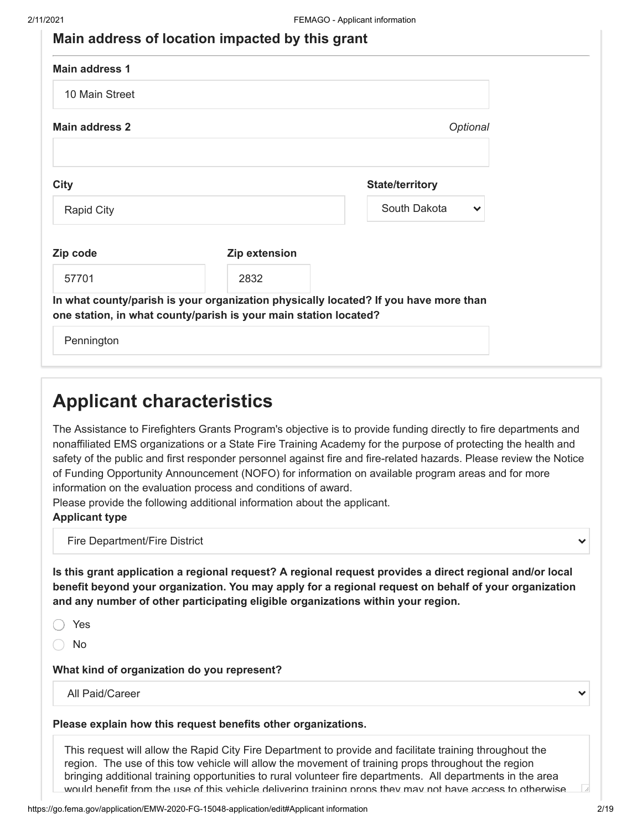| <b>Main address 1</b> |                                                                                                                                                          |                              |
|-----------------------|----------------------------------------------------------------------------------------------------------------------------------------------------------|------------------------------|
| 10 Main Street        |                                                                                                                                                          |                              |
| <b>Main address 2</b> |                                                                                                                                                          | Optional                     |
|                       |                                                                                                                                                          |                              |
| <b>City</b>           |                                                                                                                                                          | <b>State/territory</b>       |
| Rapid City            |                                                                                                                                                          | South Dakota<br>$\checkmark$ |
|                       |                                                                                                                                                          |                              |
| Zip code              | Zip extension                                                                                                                                            |                              |
| 57701                 | 2832                                                                                                                                                     |                              |
|                       | In what county/parish is your organization physically located? If you have more than<br>one station, in what county/parish is your main station located? |                              |
| Pennington            |                                                                                                                                                          |                              |
|                       |                                                                                                                                                          |                              |

<span id="page-1-0"></span>The Assistance to Firefighters Grants Program's objective is to provide funding directly to fire departments and nonaffiliated EMS organizations or a State Fire Training Academy for the purpose of protecting the health and safety of the public and first responder personnel against fire and fire-related hazards. Please review the Notice of Funding Opportunity Announcement (NOFO) for information on available program areas and for more information on the evaluation process and conditions of award.

Please provide the following additional information about the applicant.

#### **Applicant type**

Fire Department/Fire District

**Is this grant application a regional request? A regional request provides a direct regional and/or local benefit beyond your organization. You may apply for a regional request on behalf of your organization and any number of other participating eligible organizations within your region.**

Yes

No

**What kind of organization do you represent?**

All Paid/Career

 $\checkmark$ 

#### **Please explain how this request benefits other organizations.**

This request will allow the Rapid City Fire Department to provide and facilitate training throughout the region. The use of this tow vehicle will allow the movement of training props throughout the region bringing additional training opportunities to rural volunteer fire departments. All departments in the area would benefit from the use of this vehicle delivering training props they may not have access to otherwise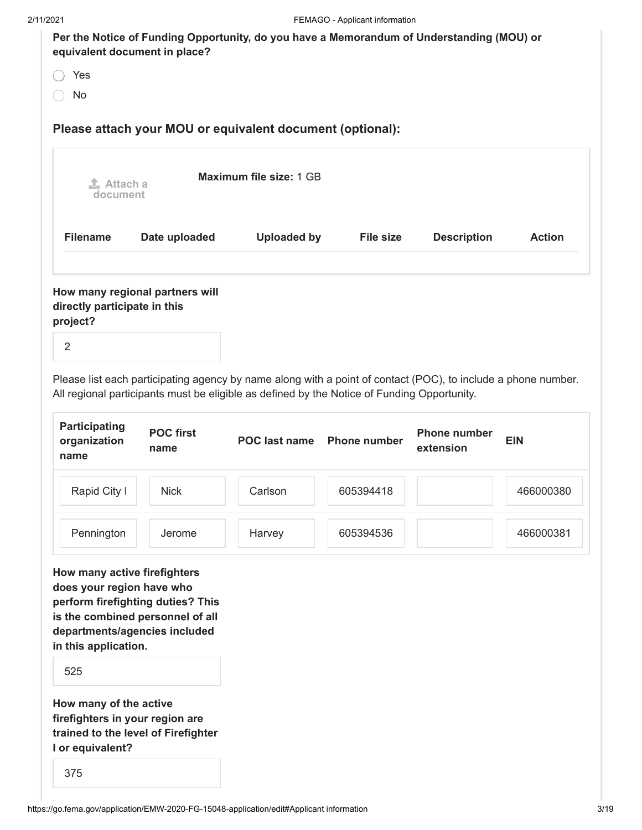| 2/11/2021                                                                                                                                                           |                  |                                                                                                                                                                                                              | FEMAGO - Applicant information |                     |               |
|---------------------------------------------------------------------------------------------------------------------------------------------------------------------|------------------|--------------------------------------------------------------------------------------------------------------------------------------------------------------------------------------------------------------|--------------------------------|---------------------|---------------|
| equivalent document in place?                                                                                                                                       |                  | Per the Notice of Funding Opportunity, do you have a Memorandum of Understanding (MOU) or                                                                                                                    |                                |                     |               |
| Yes                                                                                                                                                                 |                  |                                                                                                                                                                                                              |                                |                     |               |
| No                                                                                                                                                                  |                  |                                                                                                                                                                                                              |                                |                     |               |
|                                                                                                                                                                     |                  | Please attach your MOU or equivalent document (optional):                                                                                                                                                    |                                |                     |               |
| $\mathbf{I}$ Attach a<br>document                                                                                                                                   |                  | Maximum file size: 1 GB                                                                                                                                                                                      |                                |                     |               |
| <b>Filename</b>                                                                                                                                                     | Date uploaded    | <b>Uploaded by</b>                                                                                                                                                                                           | <b>File size</b>               | <b>Description</b>  | <b>Action</b> |
| <b>Participating</b>                                                                                                                                                | <b>POC first</b> | Please list each participating agency by name along with a point of contact (POC), to include a phone number.<br>All regional participants must be eligible as defined by the Notice of Funding Opportunity. |                                | <b>Phone number</b> |               |
| organization<br>name                                                                                                                                                | name             | POC last name                                                                                                                                                                                                | <b>Phone number</b>            | extension           | <b>EIN</b>    |
| Rapid City I                                                                                                                                                        | <b>Nick</b>      | Carlson                                                                                                                                                                                                      | 605394418                      |                     | 466000380     |
| Pennington                                                                                                                                                          | Jerome           | Harvey                                                                                                                                                                                                       | 605394536                      |                     | 466000381     |
| How many active firefighters<br>does your region have who<br>perform firefighting duties? This<br>is the combined personnel of all<br>departments/agencies included |                  |                                                                                                                                                                                                              |                                |                     |               |
| in this application.                                                                                                                                                |                  |                                                                                                                                                                                                              |                                |                     |               |
| 525                                                                                                                                                                 |                  |                                                                                                                                                                                                              |                                |                     |               |
| How many of the active<br>firefighters in your region are<br>trained to the level of Firefighter<br>I or equivalent?                                                |                  |                                                                                                                                                                                                              |                                |                     |               |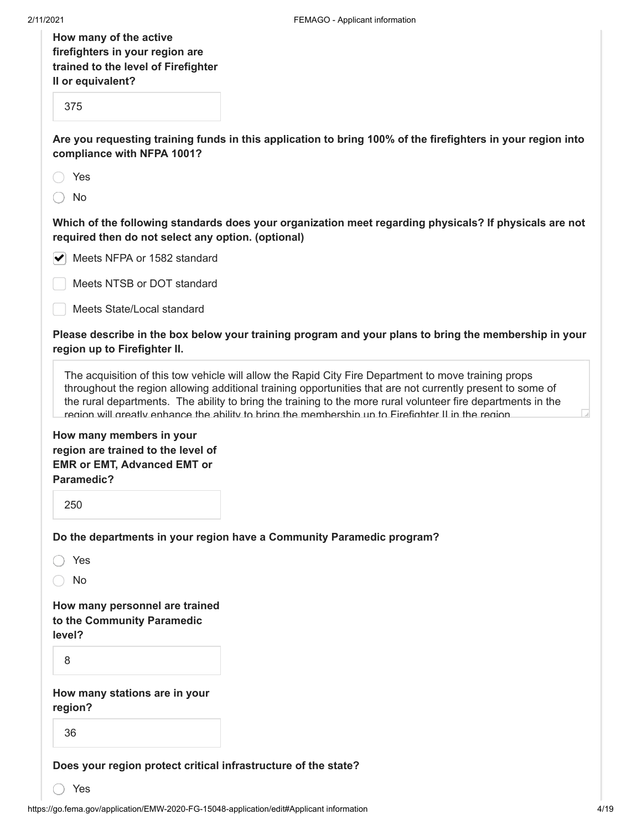| How many of the active              |
|-------------------------------------|
| firefighters in your region are     |
| trained to the level of Firefighter |
| Il or equivalent?                   |
|                                     |

375

**Are you requesting training funds in this application to bring 100% of the firefighters in your region into compliance with NFPA 1001?**

◯ No

**Which of the following standards does your organization meet regarding physicals? If physicals are not required then do not select any option. (optional)**

|  |  |  |  | $\blacktriangleright$ Meets NFPA or 1582 standard |
|--|--|--|--|---------------------------------------------------|
|--|--|--|--|---------------------------------------------------|

Meets NTSB or DOT standard

Meets State/Local standard

**Please describe in the box below your training program and your plans to bring the membership in your region up to Firefighter II.**

The acquisition of this tow vehicle will allow the Rapid City Fire Department to move training props throughout the region allowing additional training opportunities that are not currently present to some of the rural departments. The ability to bring the training to the more rural volunteer fire departments in the region will greatly enhance the ability to bring the membership up to Firefighter II in the region.

**How many members in your region are trained to the level of EMR or EMT, Advanced EMT or Paramedic?**

250

**Do the departments in your region have a Community Paramedic program?**

Yes

No

**How many personnel are trained to the Community Paramedic level?**

8

**How many stations are in your region?**

36

**Does your region protect critical infrastructure of the state?**

Yes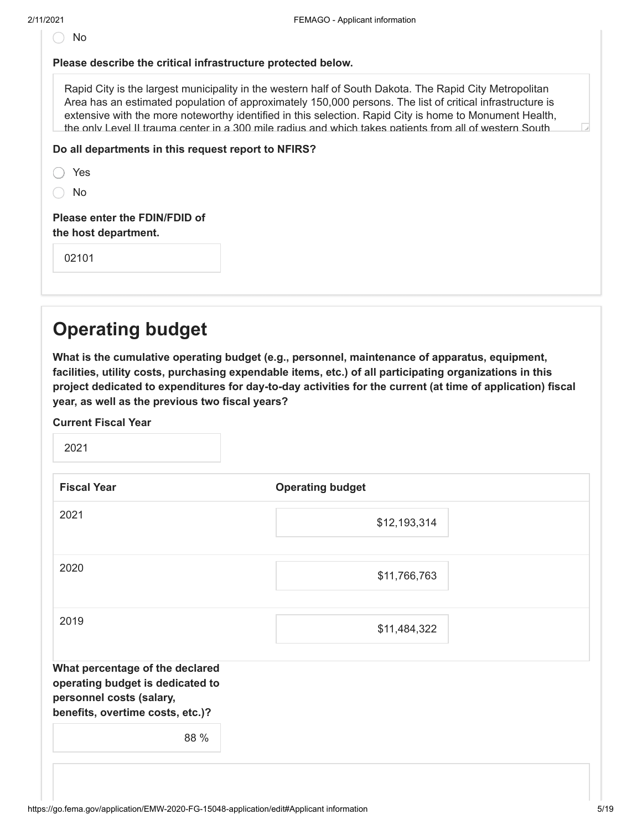| ۰, |
|----|
|----|

#### **Please describe the critical infrastructure protected below.**

Rapid City is the largest municipality in the western half of South Dakota. The Rapid City Metropolitan Area has an estimated population of approximately 150,000 persons. The list of critical infrastructure is extensive with the more noteworthy identified in this selection. Rapid City is home to Monument Health, the only Level II trauma center in a 300 mile radius and which takes patients from all of western South

#### **Do all departments in this request report to NFIRS?**

| <b>Please enter the</b> |  |  |
|-------------------------|--|--|
| No                      |  |  |
| Yes                     |  |  |

**FDIN/FDID of the host department.**

02101

### <span id="page-4-0"></span>**Operating budget**

**What is the cumulative operating budget (e.g., personnel, maintenance of apparatus, equipment, facilities, utility costs, purchasing expendable items, etc.) of all participating organizations in this project dedicated to expenditures for day-to-day activities for the current (at time of application) fiscal year, as well as the previous two fiscal years?**

**Current Fiscal Year**

2021

| <b>Fiscal Year</b>                                                                                                                  | <b>Operating budget</b> |
|-------------------------------------------------------------------------------------------------------------------------------------|-------------------------|
| 2021                                                                                                                                | \$12,193,314            |
| 2020                                                                                                                                | \$11,766,763            |
| 2019                                                                                                                                | \$11,484,322            |
| What percentage of the declared<br>operating budget is dedicated to<br>personnel costs (salary,<br>benefits, overtime costs, etc.)? |                         |
| 88 %                                                                                                                                |                         |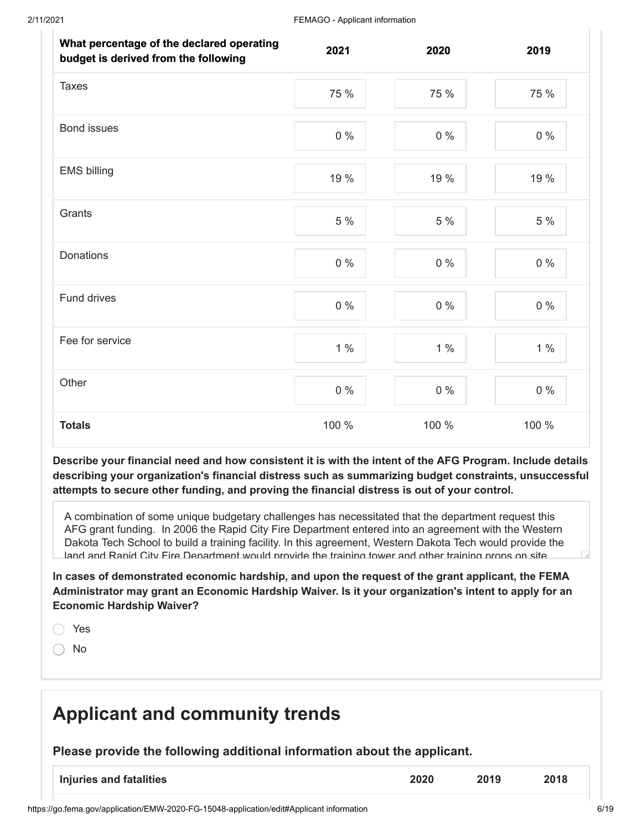| What percentage of the declared operating<br>budget is derived from the following | 2021  | 2020  | 2019  |
|-----------------------------------------------------------------------------------|-------|-------|-------|
| <b>Taxes</b>                                                                      | 75 %  | 75 %  | 75 %  |
| Bond issues                                                                       | $0\%$ | $0\%$ | $0\%$ |
| <b>EMS billing</b>                                                                | 19 %  | 19 %  | 19 %  |
| Grants                                                                            | 5 %   | 5 %   | 5 %   |
| Donations                                                                         | $0\%$ | $0\%$ | $0\%$ |
| Fund drives                                                                       | $0\%$ | $0\%$ | $0\%$ |
| Fee for service                                                                   | $1\%$ | $1\%$ | 1%    |
| Other                                                                             | $0\%$ | $0\%$ | $0\%$ |
| <b>Totals</b>                                                                     | 100 % | 100 % | 100 % |

**Describe your financial need and how consistent it is with the intent of the AFG Program. Include details describing your organization's financial distress such as summarizing budget constraints, unsuccessful attempts to secure other funding, and proving the financial distress is out of your control.**

A combination of some unique budgetary challenges has necessitated that the department request this AFG grant funding. In 2006 the Rapid City Fire Department entered into an agreement with the Western Dakota Tech School to build a training facility. In this agreement, Western Dakota Tech would provide the land and Rapid City Fire Department would provide the training tower and other training props on site

**In cases of demonstrated economic hardship, and upon the request of the grant applicant, the FEMA Administrator may grant an Economic Hardship Waiver. Is it your organization's intent to apply for an Economic Hardship Waiver?**

Yes

No

### <span id="page-5-0"></span>**Applicant and community trends**

**Please provide the following additional information about the applicant.**

| Injuries and fatalities | 2020 | 2019 | 2018 |
|-------------------------|------|------|------|
|                         |      |      |      |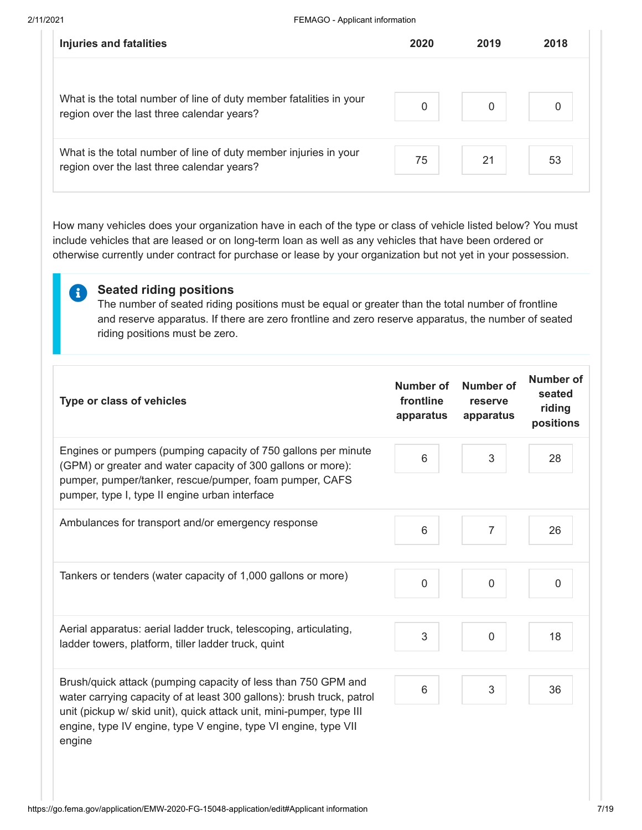A

| <b>Injuries and fatalities</b>                                                                                   | 2020         | 2019 | 2018 |
|------------------------------------------------------------------------------------------------------------------|--------------|------|------|
| What is the total number of line of duty member fatalities in your<br>region over the last three calendar years? | $\mathbf{0}$ | 0    |      |
| What is the total number of line of duty member injuries in your<br>region over the last three calendar years?   | 75           | 21   | 53   |

How many vehicles does your organization have in each of the type or class of vehicle listed below? You must include vehicles that are leased or on long-term loan as well as any vehicles that have been ordered or otherwise currently under contract for purchase or lease by your organization but not yet in your possession.

**Seated riding positions** The number of seated riding positions must be equal or greater than the total number of frontline and reserve apparatus. If there are zero frontline and zero reserve apparatus, the number of seated riding positions must be zero.

| Type or class of vehicles                                                                                                                                                                                                                                                                   | Number of<br>frontline<br>apparatus | Number of<br>reserve<br>apparatus | Number of<br>seated<br>riding<br>positions |
|---------------------------------------------------------------------------------------------------------------------------------------------------------------------------------------------------------------------------------------------------------------------------------------------|-------------------------------------|-----------------------------------|--------------------------------------------|
| Engines or pumpers (pumping capacity of 750 gallons per minute<br>(GPM) or greater and water capacity of 300 gallons or more):<br>pumper, pumper/tanker, rescue/pumper, foam pumper, CAFS<br>pumper, type I, type II engine urban interface                                                 | 6                                   | 3                                 | 28                                         |
| Ambulances for transport and/or emergency response                                                                                                                                                                                                                                          | 6                                   | $\overline{7}$                    | 26                                         |
| Tankers or tenders (water capacity of 1,000 gallons or more)                                                                                                                                                                                                                                | 0                                   | 0                                 | 0                                          |
| Aerial apparatus: aerial ladder truck, telescoping, articulating,<br>ladder towers, platform, tiller ladder truck, quint                                                                                                                                                                    | 3                                   | 0                                 | 18                                         |
| Brush/quick attack (pumping capacity of less than 750 GPM and<br>water carrying capacity of at least 300 gallons): brush truck, patrol<br>unit (pickup w/ skid unit), quick attack unit, mini-pumper, type III<br>engine, type IV engine, type V engine, type VI engine, type VII<br>engine | 6                                   | 3                                 | 36                                         |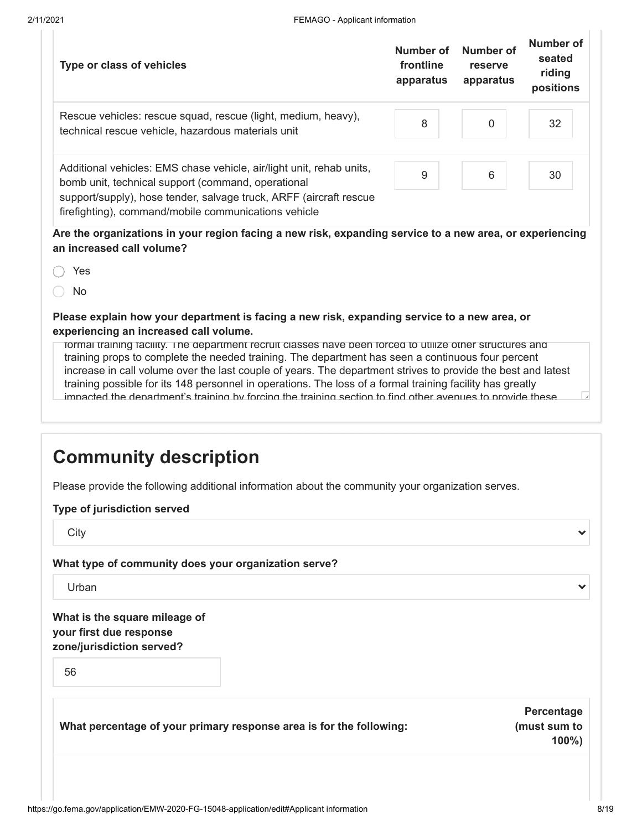| Type or class of vehicles                                                                                                                                                                                                                                | Number of<br>frontline<br>apparatus | <b>Number of</b><br>reserve<br>apparatus | Number of<br>seated<br>riding<br>positions |
|----------------------------------------------------------------------------------------------------------------------------------------------------------------------------------------------------------------------------------------------------------|-------------------------------------|------------------------------------------|--------------------------------------------|
| Rescue vehicles: rescue squad, rescue (light, medium, heavy),<br>technical rescue vehicle, hazardous materials unit                                                                                                                                      | 8                                   | $\mathbf 0$                              | 32                                         |
| Additional vehicles: EMS chase vehicle, air/light unit, rehab units,<br>bomb unit, technical support (command, operational<br>support/supply), hose tender, salvage truck, ARFF (aircraft rescue<br>firefighting), command/mobile communications vehicle | 9                                   | 6                                        | 30                                         |
| Are the organizations in your region facing a new risk, expanding service to a new area, or experiencing<br>an increased call volume?                                                                                                                    |                                     |                                          |                                            |
| Yes                                                                                                                                                                                                                                                      |                                     |                                          |                                            |
| No.                                                                                                                                                                                                                                                      |                                     |                                          |                                            |
| Please explain how your department is facing a new risk, expanding service to a new area, or<br>experiencing an increased call volume.                                                                                                                   |                                     |                                          |                                            |

formal training facility. The department recruit classes have been forced to utilize other structures and training props to complete the needed training. The department has seen a continuous four percent increase in call volume over the last couple of years. The department strives to provide the best and latest training possible for its 148 personnel in operations. The loss of a formal training facility has greatly impacted the department's training by forcing the training section to find other avenues to provide these

#### <span id="page-7-0"></span>**Community description**

Please provide the following additional information about the community your organization serves.

#### **Type of jurisdiction served**

**City** 

**What type of community does your organization serve?**

Urban

**What is the square mileage of your first due response zone/jurisdiction served?**

56

**What percentage of your primary response area is for the following:**

**Percentage (must sum to 100%)**

 $\checkmark$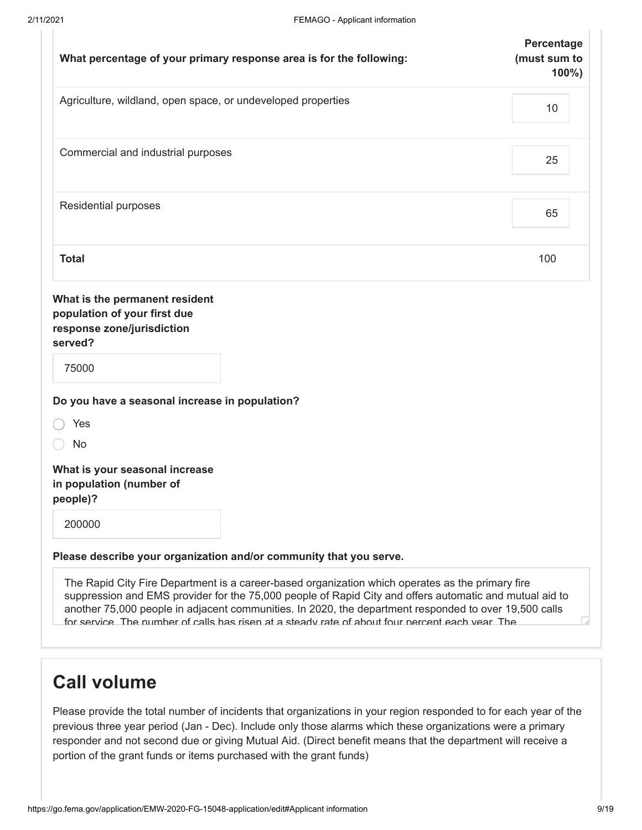| What percentage of your primary response area is for the following:                                                                                                                                         | Percentage<br>(must sum to<br>$100\%$ ) |
|-------------------------------------------------------------------------------------------------------------------------------------------------------------------------------------------------------------|-----------------------------------------|
| Agriculture, wildland, open space, or undeveloped properties                                                                                                                                                | 10                                      |
| Commercial and industrial purposes                                                                                                                                                                          | 25                                      |
| Residential purposes                                                                                                                                                                                        | 65                                      |
| <b>Total</b>                                                                                                                                                                                                | 100                                     |
| What is the permanent resident<br>population of your first due<br>response zone/jurisdiction<br>served?<br>75000                                                                                            |                                         |
| Do you have a seasonal increase in population?                                                                                                                                                              |                                         |
| Yes                                                                                                                                                                                                         |                                         |
| No                                                                                                                                                                                                          |                                         |
| What is your seasonal increase<br>in population (number of<br>people)?                                                                                                                                      |                                         |
| 200000                                                                                                                                                                                                      |                                         |
| Please describe your organization and/or community that you serve.                                                                                                                                          |                                         |
| The Rapid City Fire Department is a career-based organization which operates as the primary fire<br>suppression and EMS provider for the 75,000 people of Rapid City and offers automatic and mutual aid to |                                         |

another 75,000 people in adjacent communities. In 2020, the department responded to over 19,500 calls for service The number of calls has risen at a steady rate of about four percent each year The

#### <span id="page-8-0"></span>**Call volume**

Please provide the total number of incidents that organizations in your region responded to for each year of the previous three year period (Jan - Dec). Include only those alarms which these organizations were a primary responder and not second due or giving Mutual Aid. (Direct benefit means that the department will receive a portion of the grant funds or items purchased with the grant funds)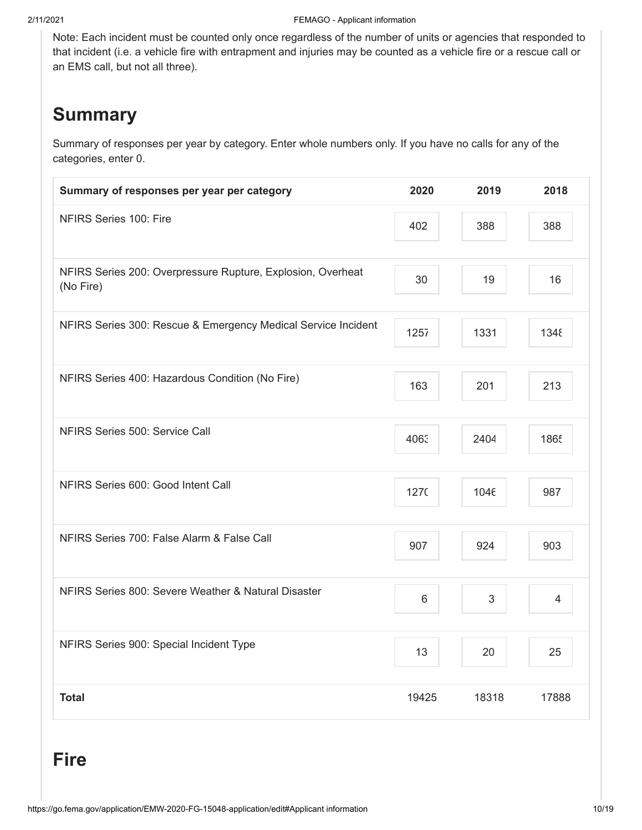Note: Each incident must be counted only once regardless of the number of units or agencies that responded to that incident (i.e. a vehicle fire with entrapment and injuries may be counted as a vehicle fire or a rescue call or an EMS call, but not all three).

### **Summary**

Summary of responses per year by category. Enter whole numbers only. If you have no calls for any of the categories, enter 0.

| Summary of responses per year per category                               | 2020  | 2019  | 2018           |
|--------------------------------------------------------------------------|-------|-------|----------------|
| NFIRS Series 100: Fire                                                   | 402   | 388   | 388            |
| NFIRS Series 200: Overpressure Rupture, Explosion, Overheat<br>(No Fire) | 30    | 19    | 16             |
| NFIRS Series 300: Rescue & Emergency Medical Service Incident            | 1257  | 1331  | 1348           |
| NFIRS Series 400: Hazardous Condition (No Fire)                          | 163   | 201   | 213            |
| NFIRS Series 500: Service Call                                           | 4063  | 2404  | 1865           |
| NFIRS Series 600: Good Intent Call                                       | 1270  | 1046  | 987            |
| NFIRS Series 700: False Alarm & False Call                               | 907   | 924   | 903            |
| NFIRS Series 800: Severe Weather & Natural Disaster                      | 6     | 3     | $\overline{4}$ |
| NFIRS Series 900: Special Incident Type                                  | 13    | 20    | 25             |
| <b>Total</b>                                                             | 19425 | 18318 | 17888          |

### **Fire**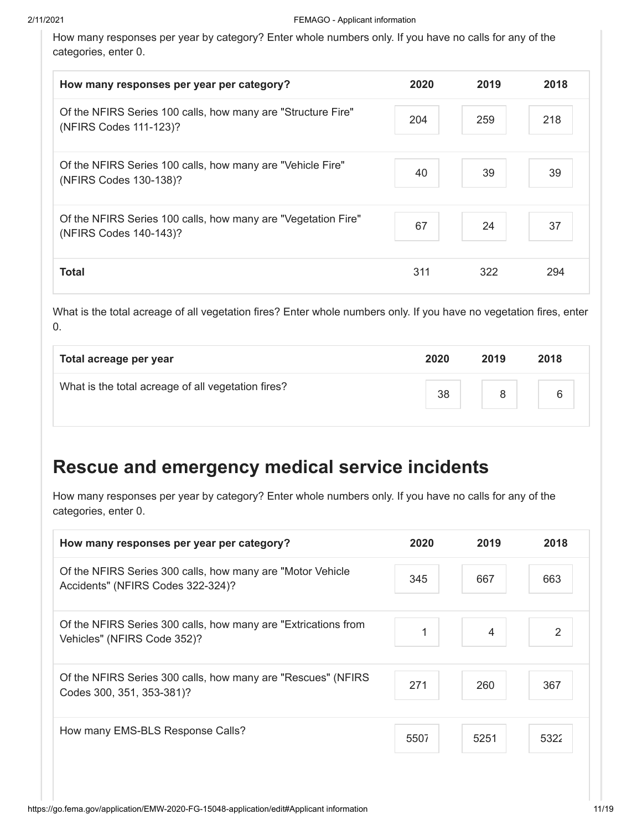How many responses per year by category? Enter whole numbers only. If you have no calls for any of the categories, enter 0.

| How many responses per year per category?                                               | 2020 | 2019 | 2018 |
|-----------------------------------------------------------------------------------------|------|------|------|
| Of the NFIRS Series 100 calls, how many are "Structure Fire"<br>(NFIRS Codes 111-123)?  | 204  | 259  | 218  |
| Of the NFIRS Series 100 calls, how many are "Vehicle Fire"<br>(NFIRS Codes 130-138)?    | 40   | 39   | 39   |
| Of the NFIRS Series 100 calls, how many are "Vegetation Fire"<br>(NFIRS Codes 140-143)? | 67   | 24   | 37   |
| <b>Total</b>                                                                            | 311  | 322  | 294  |

What is the total acreage of all vegetation fires? Enter whole numbers only. If you have no vegetation fires, enter 0.

| Total acreage per year                             | 2020 | 2019 | 2018 |
|----------------------------------------------------|------|------|------|
| What is the total acreage of all vegetation fires? | 38   | 8    | 6    |
|                                                    |      |      |      |

### **Rescue and emergency medical service incidents**

How many responses per year by category? Enter whole numbers only. If you have no calls for any of the categories, enter 0.

| How many responses per year per category?                                                        | 2020 | 2019           | 2018 |
|--------------------------------------------------------------------------------------------------|------|----------------|------|
| Of the NFIRS Series 300 calls, how many are "Motor Vehicle"<br>Accidents" (NFIRS Codes 322-324)? | 345  | 667            | 663  |
| Of the NFIRS Series 300 calls, how many are "Extrications from<br>Vehicles" (NFIRS Code 352)?    | 1    | $\overline{4}$ | 2    |
| Of the NFIRS Series 300 calls, how many are "Rescues" (NFIRS<br>Codes 300, 351, 353-381)?        | 271  | 260            | 367  |
| How many EMS-BLS Response Calls?                                                                 | 5507 | 5251           | 5322 |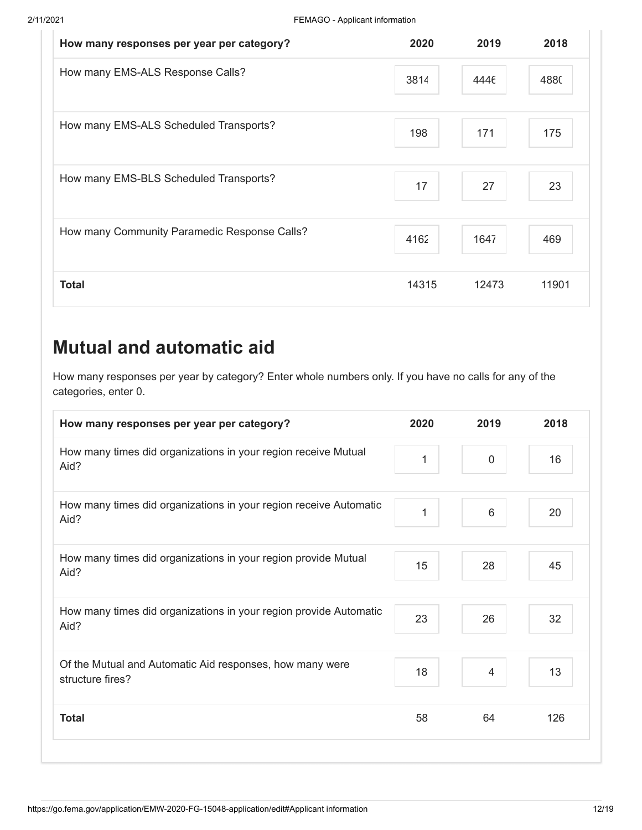| How many responses per year per category?    | 2020  | 2019  | 2018  |
|----------------------------------------------|-------|-------|-------|
| How many EMS-ALS Response Calls?             | 3814  | 4446  | 4880  |
| How many EMS-ALS Scheduled Transports?       | 198   | 171   | 175   |
| How many EMS-BLS Scheduled Transports?       | 17    | 27    | 23    |
| How many Community Paramedic Response Calls? | 4162  | 1647  | 469   |
| <b>Total</b>                                 | 14315 | 12473 | 11901 |

## **Mutual and automatic aid**

How many responses per year by category? Enter whole numbers only. If you have no calls for any of the categories, enter 0.

| How many responses per year per category?                                    | 2020 | 2019           | 2018 |
|------------------------------------------------------------------------------|------|----------------|------|
| How many times did organizations in your region receive Mutual<br>Aid?       | 1    | $\mathbf 0$    | 16   |
| How many times did organizations in your region receive Automatic<br>Aid?    | 1    | $6\phantom{1}$ | 20   |
| How many times did organizations in your region provide Mutual<br>Aid?       | 15   | 28             | 45   |
| How many times did organizations in your region provide Automatic<br>Aid?    | 23   | 26             | 32   |
| Of the Mutual and Automatic Aid responses, how many were<br>structure fires? | 18   | 4              | 13   |
| <b>Total</b>                                                                 | 58   | 64             | 126  |
|                                                                              |      |                |      |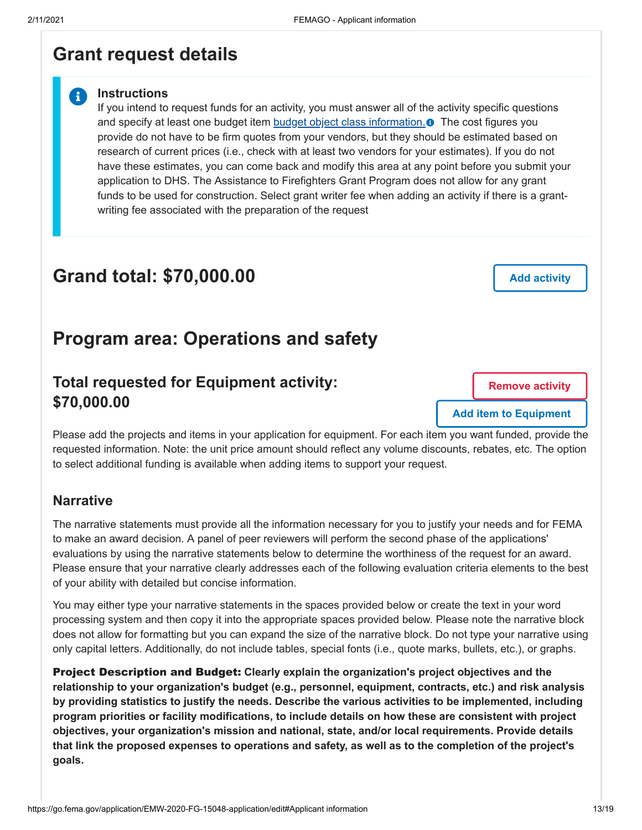#### <span id="page-12-0"></span>**Grant request details**

#### **Instructions**

 $\ddot{\mathbf{r}}$ 

If you intend to request funds for an activity, you must answer all of the activity specific questions and specify at least one budget item **budget object class information. O** The cost figures you provide do not have to be firm quotes from your vendors, but they should be estimated based on research of current prices (i.e., check with at least two vendors for your estimates). If you do not have these estimates, you can come back and modify this area at any point before you submit your application to DHS. The Assistance to Firefighters Grant Program does not allow for any grant funds to be used for construction. Select grant writer fee when adding an activity if there is a grantwriting fee associated with the preparation of the request

### **Grand total: \$70,000.00**

**Add activity**

#### **Program area: Operations and safety**

#### **Total requested for Equipment activity: \$70,000.00**

**Remove activity**

**Add item to Equipment**

Please add the projects and items in your application for equipment. For each item you want funded, provide the requested information. Note: the unit price amount should reflect any volume discounts, rebates, etc. The option to select additional funding is available when adding items to support your request.

#### **Narrative**

The narrative statements must provide all the information necessary for you to justify your needs and for FEMA to make an award decision. A panel of peer reviewers will perform the second phase of the applications' evaluations by using the narrative statements below to determine the worthiness of the request for an award. Please ensure that your narrative clearly addresses each of the following evaluation criteria elements to the best of your ability with detailed but concise information.

You may either type your narrative statements in the spaces provided below or create the text in your word processing system and then copy it into the appropriate spaces provided below. Please note the narrative block does not allow for formatting but you can expand the size of the narrative block. Do not type your narrative using only capital letters. Additionally, do not include tables, special fonts (i.e., quote marks, bullets, etc.), or graphs.

Project Description and Budget: **Clearly explain the organization's project objectives and the relationship to your organization's budget (e.g., personnel, equipment, contracts, etc.) and risk analysis by providing statistics to justify the needs. Describe the various activities to be implemented, including program priorities or facility modifications, to include details on how these are consistent with project objectives, your organization's mission and national, state, and/or local requirements. Provide details that link the proposed expenses to operations and safety, as well as to the completion of the project's goals.**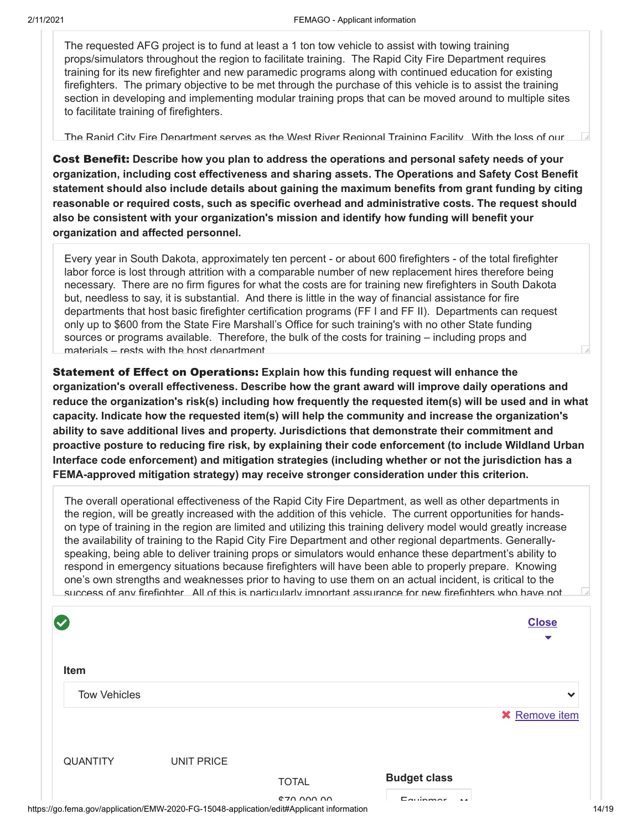The requested AFG project is to fund at least a 1 ton tow vehicle to assist with towing training props/simulators throughout the region to facilitate training. The Rapid City Fire Department requires training for its new firefighter and new paramedic programs along with continued education for existing firefighters. The primary objective to be met through the purchase of this vehicle is to assist the training section in developing and implementing modular training props that can be moved around to multiple sites to facilitate training of firefighters.

The Rapid City Fire Department serves as the West River Regional Training Facility With the loss of our

Cost Benefit: **Describe how you plan to address the operations and personal safety needs of your organization, including cost effectiveness and sharing assets. The Operations and Safety Cost Benefit statement should also include details about gaining the maximum benefits from grant funding by citing reasonable or required costs, such as specific overhead and administrative costs. The request should also be consistent with your organization's mission and identify how funding will benefit your organization and affected personnel.**

Every year in South Dakota, approximately ten percent - or about 600 firefighters - of the total firefighter labor force is lost through attrition with a comparable number of new replacement hires therefore being necessary. There are no firm figures for what the costs are for training new firefighters in South Dakota but, needless to say, it is substantial. And there is little in the way of financial assistance for fire departments that host basic firefighter certification programs (FF I and FF II). Departments can request only up to \$600 from the State Fire Marshall's Office for such training's with no other State funding sources or programs available. Therefore, the bulk of the costs for training – including props and materials – rests with the host department

Statement of Effect on Operations: **Explain how this funding request will enhance the organization's overall effectiveness. Describe how the grant award will improve daily operations and reduce the organization's risk(s) including how frequently the requested item(s) will be used and in what capacity. Indicate how the requested item(s) will help the community and increase the organization's ability to save additional lives and property. Jurisdictions that demonstrate their commitment and proactive posture to reducing fire risk, by explaining their code enforcement (to include Wildland Urban Interface code enforcement) and mitigation strategies (including whether or not the jurisdiction has a FEMA-approved mitigation strategy) may receive stronger consideration under this criterion.**

The overall operational effectiveness of the Rapid City Fire Department, as well as other departments in the region, will be greatly increased with the addition of this vehicle. The current opportunities for handson type of training in the region are limited and utilizing this training delivery model would greatly increase the availability of training to the Rapid City Fire Department and other regional departments. Generallyspeaking, being able to deliver training props or simulators would enhance these department's ability to respond in emergency situations because firefighters will have been able to properly prepare. Knowing one's own strengths and weaknesses prior to having to use them on an actual incident, is critical to the success of any firefighter All of this is particularly important assurance for new firefighters who have not

| $\bullet$           |                   |                                                                                                         |                           | <b>Close</b><br>▼    |
|---------------------|-------------------|---------------------------------------------------------------------------------------------------------|---------------------------|----------------------|
| Item                |                   |                                                                                                         |                           |                      |
| <b>Tow Vehicles</b> |                   |                                                                                                         |                           | $\checkmark$         |
|                     |                   |                                                                                                         |                           | <b>X</b> Remove item |
| <b>QUANTITY</b>     | <b>UNIT PRICE</b> |                                                                                                         |                           |                      |
|                     |                   | <b>TOTAL</b>                                                                                            | <b>Budget class</b>       |                      |
|                     |                   | $P$ and $P$<br>https://go.fema.gov/application/EMW-2020-FG-15048-application/edit#Applicant information | $E$ auinmar<br>$\sim$ 4.4 |                      |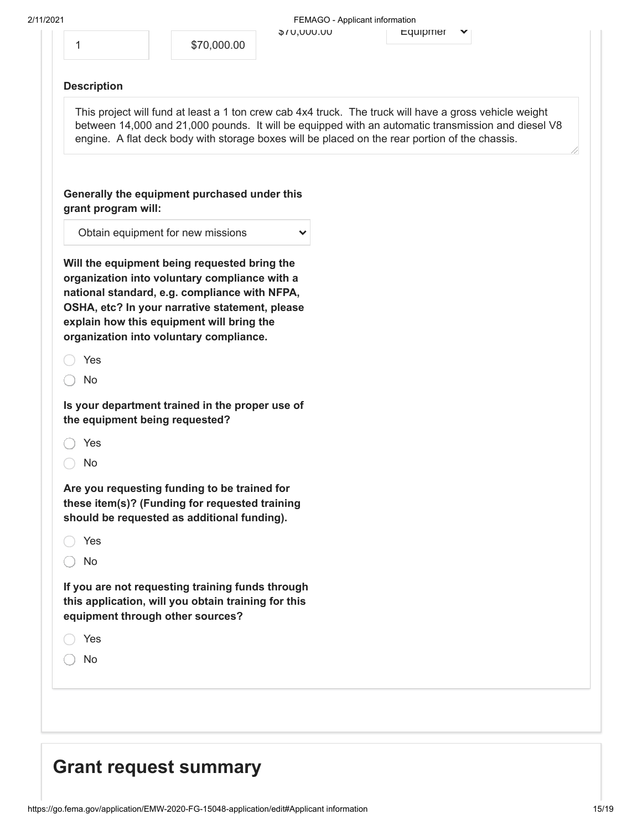|                     | \$70,000.00                                                                                                                                                                                                                                                                              | DU.UUU,UV | Equipmen                                                                                                                                                                                                                                                                                                       |  |
|---------------------|------------------------------------------------------------------------------------------------------------------------------------------------------------------------------------------------------------------------------------------------------------------------------------------|-----------|----------------------------------------------------------------------------------------------------------------------------------------------------------------------------------------------------------------------------------------------------------------------------------------------------------------|--|
| 1                   |                                                                                                                                                                                                                                                                                          |           |                                                                                                                                                                                                                                                                                                                |  |
| <b>Description</b>  |                                                                                                                                                                                                                                                                                          |           |                                                                                                                                                                                                                                                                                                                |  |
|                     |                                                                                                                                                                                                                                                                                          |           | This project will fund at least a 1 ton crew cab 4x4 truck. The truck will have a gross vehicle weight<br>between 14,000 and 21,000 pounds. It will be equipped with an automatic transmission and diesel V8<br>engine. A flat deck body with storage boxes will be placed on the rear portion of the chassis. |  |
| grant program will: | Generally the equipment purchased under this                                                                                                                                                                                                                                             |           |                                                                                                                                                                                                                                                                                                                |  |
|                     | Obtain equipment for new missions                                                                                                                                                                                                                                                        |           |                                                                                                                                                                                                                                                                                                                |  |
|                     | Will the equipment being requested bring the<br>organization into voluntary compliance with a<br>national standard, e.g. compliance with NFPA,<br>OSHA, etc? In your narrative statement, please<br>explain how this equipment will bring the<br>organization into voluntary compliance. |           |                                                                                                                                                                                                                                                                                                                |  |
| Yes                 |                                                                                                                                                                                                                                                                                          |           |                                                                                                                                                                                                                                                                                                                |  |
| No                  |                                                                                                                                                                                                                                                                                          |           |                                                                                                                                                                                                                                                                                                                |  |
|                     | Is your department trained in the proper use of<br>the equipment being requested?                                                                                                                                                                                                        |           |                                                                                                                                                                                                                                                                                                                |  |
| Yes                 |                                                                                                                                                                                                                                                                                          |           |                                                                                                                                                                                                                                                                                                                |  |
| No                  |                                                                                                                                                                                                                                                                                          |           |                                                                                                                                                                                                                                                                                                                |  |
|                     | Are you requesting funding to be trained for<br>these item(s)? (Funding for requested training<br>should be requested as additional funding).                                                                                                                                            |           |                                                                                                                                                                                                                                                                                                                |  |
| Yes                 |                                                                                                                                                                                                                                                                                          |           |                                                                                                                                                                                                                                                                                                                |  |
| No                  |                                                                                                                                                                                                                                                                                          |           |                                                                                                                                                                                                                                                                                                                |  |
|                     | If you are not requesting training funds through<br>this application, will you obtain training for this<br>equipment through other sources?                                                                                                                                              |           |                                                                                                                                                                                                                                                                                                                |  |
| Yes                 |                                                                                                                                                                                                                                                                                          |           |                                                                                                                                                                                                                                                                                                                |  |
| No                  |                                                                                                                                                                                                                                                                                          |           |                                                                                                                                                                                                                                                                                                                |  |
|                     |                                                                                                                                                                                                                                                                                          |           |                                                                                                                                                                                                                                                                                                                |  |
|                     |                                                                                                                                                                                                                                                                                          |           |                                                                                                                                                                                                                                                                                                                |  |

## <span id="page-14-0"></span>**Grant request summary**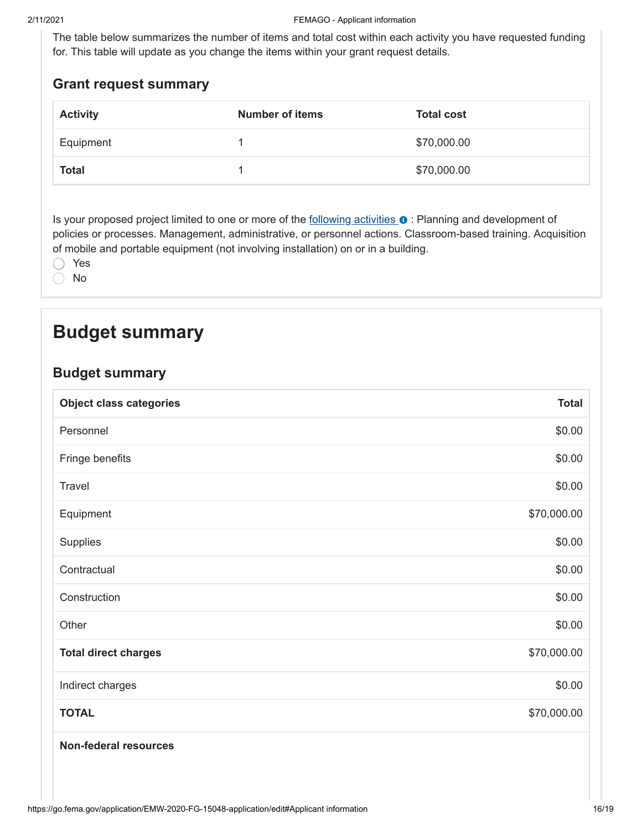The table below summarizes the number of items and total cost within each activity you have requested funding for. This table will update as you change the items within your grant request details.

#### **Grant request summary**

| <b>Activity</b> | <b>Number of items</b> | <b>Total cost</b> |
|-----------------|------------------------|-------------------|
| Equipment       |                        | \$70,000.00       |
| <b>Total</b>    |                        | \$70,000.00       |

Is your proposed project limited to one or more of the following activities  $\bullet$  : Planning and development of policies or processes. Management, administrative, or personnel actions. Classroom-based training. Acquisition of mobile and portable equipment (not involving installation) on or in a building.

 $\bigcap$ Yes

No  $\bigcirc$ 

### <span id="page-15-0"></span>**Budget summary**

#### **Budget summary**

| <b>Object class categories</b> | <b>Total</b> |
|--------------------------------|--------------|
| Personnel                      | \$0.00       |
| Fringe benefits                | \$0.00       |
| Travel                         | \$0.00       |
| Equipment                      | \$70,000.00  |
| Supplies                       | \$0.00       |
| Contractual                    | \$0.00       |
| Construction                   | \$0.00       |
| Other                          | \$0.00       |
| <b>Total direct charges</b>    | \$70,000.00  |
| Indirect charges               | \$0.00       |
| <b>TOTAL</b>                   | \$70,000.00  |
| Non-federal resources          |              |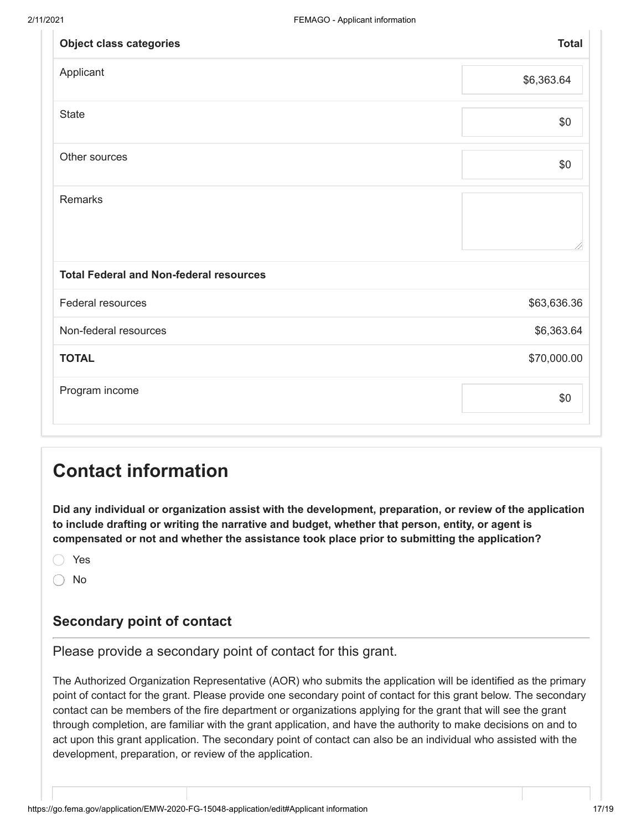| <b>Object class categories</b>                 | <b>Total</b> |
|------------------------------------------------|--------------|
| Applicant                                      | \$6,363.64   |
| <b>State</b>                                   | \$0          |
| Other sources                                  | \$0          |
| Remarks                                        |              |
| <b>Total Federal and Non-federal resources</b> |              |
| Federal resources                              | \$63,636.36  |
| Non-federal resources                          | \$6,363.64   |
| <b>TOTAL</b>                                   | \$70,000.00  |
| Program income                                 | \$0          |

## <span id="page-16-0"></span>**Contact information**

**Did any individual or organization assist with the development, preparation, or review of the application to include drafting or writing the narrative and budget, whether that person, entity, or agent is compensated or not and whether the assistance took place prior to submitting the application?**

Yes

⌒ No

#### **Secondary point of contact**

Please provide a secondary point of contact for this grant.

The Authorized Organization Representative (AOR) who submits the application will be identified as the primary point of contact for the grant. Please provide one secondary point of contact for this grant below. The secondary contact can be members of the fire department or organizations applying for the grant that will see the grant through completion, are familiar with the grant application, and have the authority to make decisions on and to act upon this grant application. The secondary point of contact can also be an individual who assisted with the development, preparation, or review of the application.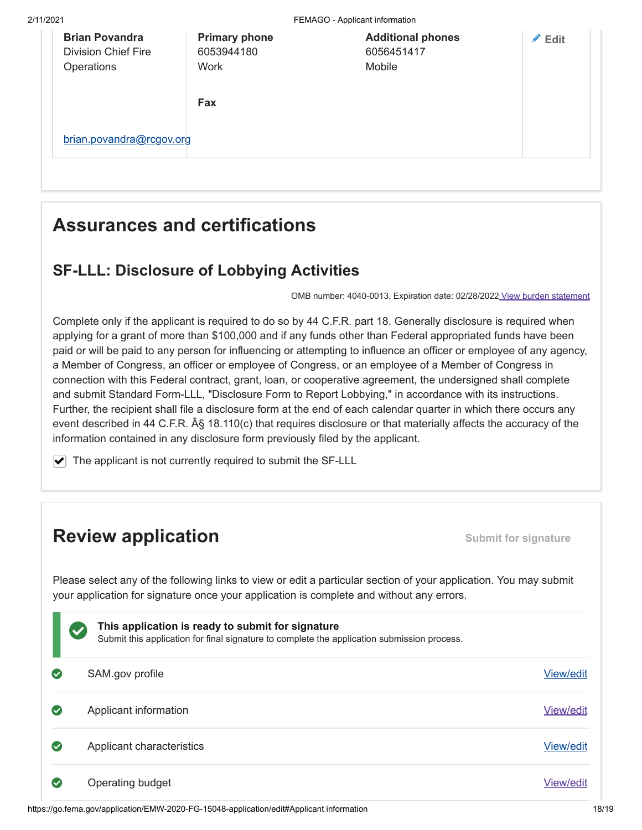2/11/2021 FEMAGO - Applicant information **Brian Povandra** Division Chief Fire **Operations** [brian.povandra@rcgov.org](mailto:brian.povandra@rcgov.org) **Primary phone** 6053944180 **Work Additional phones** 6056451417 Mobile **Fax Edit**

## <span id="page-17-0"></span>**Assurances and certifications**

#### **SF-LLL: Disclosure of Lobbying Activities**

OMB number: 4040-0013, Expiration date: 02/28/2022 View burden statement

Complete only if the applicant is required to do so by 44 C.F.R. part 18. Generally disclosure is required when applying for a grant of more than \$100,000 and if any funds other than Federal appropriated funds have been paid or will be paid to any person for influencing or attempting to influence an officer or employee of any agency, a Member of Congress, an officer or employee of Congress, or an employee of a Member of Congress in connection with this Federal contract, grant, loan, or cooperative agreement, the undersigned shall complete and submit Standard Form-LLL, "Disclosure Form to Report Lobbying," in accordance with its instructions. Further, the recipient shall file a disclosure form at the end of each calendar quarter in which there occurs any event described in 44 C.F.R.  $\hat{A}\S$  18.110(c) that requires disclosure or that materially affects the accuracy of the information contained in any disclosure form previously filed by the applicant.

 $\blacktriangleright$  The applicant is not currently required to submit the SF-LLL

### **Review application Submit for signature**

Please select any of the following links to view or edit a particular section of your application. You may submit your application for signature once your application is complete and without any errors.

|              | This application is ready to submit for signature<br>$\blacktriangledown$<br>Submit this application for final signature to complete the application submission process. |           |
|--------------|--------------------------------------------------------------------------------------------------------------------------------------------------------------------------|-----------|
|              | SAM.gov profile                                                                                                                                                          | View/edit |
|              | Applicant information                                                                                                                                                    | View/edit |
| $\checkmark$ | Applicant characteristics                                                                                                                                                | View/edit |
|              | Operating budget                                                                                                                                                         | View/edit |

https://go.fema.gov/application/EMW-2020-FG-15048-application/edit#Applicant information 18/19